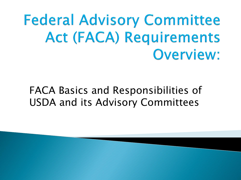**Federal Advisory Committee Act (FACA) Requirements** Overview:

#### FACA Basics and Responsibilities of USDA and its Advisory Committees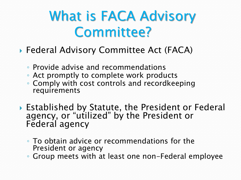## What is FACA Advisory Committee?

- Federal Advisory Committee Act (FACA)
	- Provide advise and recommendations
	- Act promptly to complete work products
	- Comply with cost controls and recordkeeping requirements
- ▶ Established by Statute, the President or Federal agency, or "utilized" by the President or Federal agency
	- To obtain advice or recommendations for the President or agency
	- Group meets with at least one non-Federal employee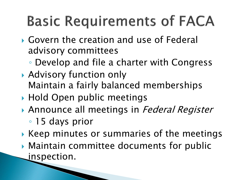# **Basic Requirements of FACA**

- Govern the creation and use of Federal advisory committees
	- Develop and file a charter with Congress
- Advisory function only Maintain a fairly balanced memberships
- ▶ Hold Open public meetings
- Announce all meetings in Federal Register
	- 15 days prior
- ▶ Keep minutes or summaries of the meetings
- Maintain committee documents for public inspection.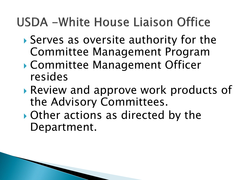#### USDA - White House Liaison Office

- Serves as oversite authority for the Committee Management Program
- Committee Management Officer resides
- Review and approve work products of the Advisory Committees.
- Other actions as directed by the Department.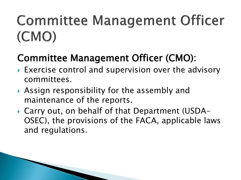## **Committee Management Officer** (CMO)

#### Committee Management Officer (CMO):

- ▶ Exercise control and supervision over the advisory committees.
- Assign responsibility for the assembly and maintenance of the reports.
- Carry out, on behalf of that Department (USDA-OSEC), the provisions of the FACA, applicable laws and regulations.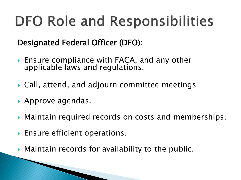# **DFO Role and Responsibilities**

Designated Federal Officer (DFO):

- ▶ Ensure compliance with FACA, and any other applicable laws and regulations.
- Call, attend, and adjourn committee meetings
- ▶ Approve agendas.
- Maintain required records on costs and memberships.
- ▶ Ensure efficient operations.
- Maintain records for availability to the public.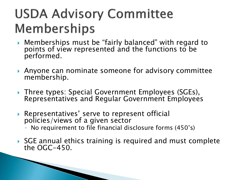### **USDA Advisory Committee** Memberships

- Memberships must be "fairly balanced" with regard to points of view represented and the functions to be performed.
- Anyone can nominate someone for advisory committee membership.
- ▶ Three types: Special Government Employees (SGEs), Representatives and Regular Government Employees
- ▶ Representatives' serve to represent official policies/views of a given sector ◦ No requirement to file financial disclosure forms (450's)

**The Communication of the Communication** 

▶ SGE annual ethics training is required and must complete the OGC-450.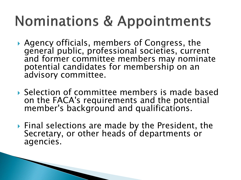## **Nominations & Appointments**

- Agency officials, members of Congress, the general public, professional societies, current and former committee members may nominate potential candidates for membership on an advisory committee.
- Selection of committee members is made based on the FACA's requirements and the potential member's background and qualifications.
- ▶ Final selections are made by the President, the Secretary, or other heads of departments or agencies.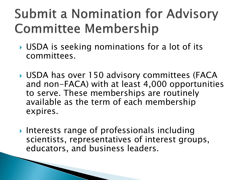#### **Submit a Nomination for Advisory Committee Membership**

- ▶ USDA is seeking nominations for a lot of its committees.
- ▶ USDA has over 150 advisory committees (FACA and non-FACA) with at least 4,000 opportunities to serve. These memberships are routinely available as the term of each membership expires.
- Interests range of professionals including scientists, representatives of interest groups, educators, and business leaders.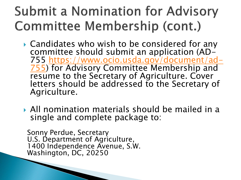### **Submit a Nomination for Advisory Committee Membership (cont.)**

- ▶ Candidates who wish to be considered for any committee should submit an application (AD-755 https://www.ocio.usda.gov/document/ad-[755\) for Advisory Committee Membership and](https://www.ocio.usda.gov/document/ad-755)  resume to the Secretary of Agriculture. Cover letters should be addressed to the Secretary of Agriculture.
- All nomination materials should be mailed in a single and complete package to:

Sonny Perdue, Secretary U.S. Department of Agriculture, 1400 Independence Avenue, S.W. Washington, DC, 20250

**The Company of Company**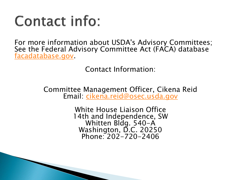## **Contact info:**

For more information about USDA's Advisory Committees; See the Federal Advisory Committee Act (FACA) database [facadatabase.gov.](http://www.facadatabase.gov/)

Contact Information:

Committee Management Officer, Cikena Reid Email: [cikena.reid@osec.usda.gov](mailto:cikena.reid@osec.usda.gov)

> White House Liaison Office 14th and Independence, SW Whitten Bldg. 540-A Washington, D.C. 20250 Phone: 202-720-2406